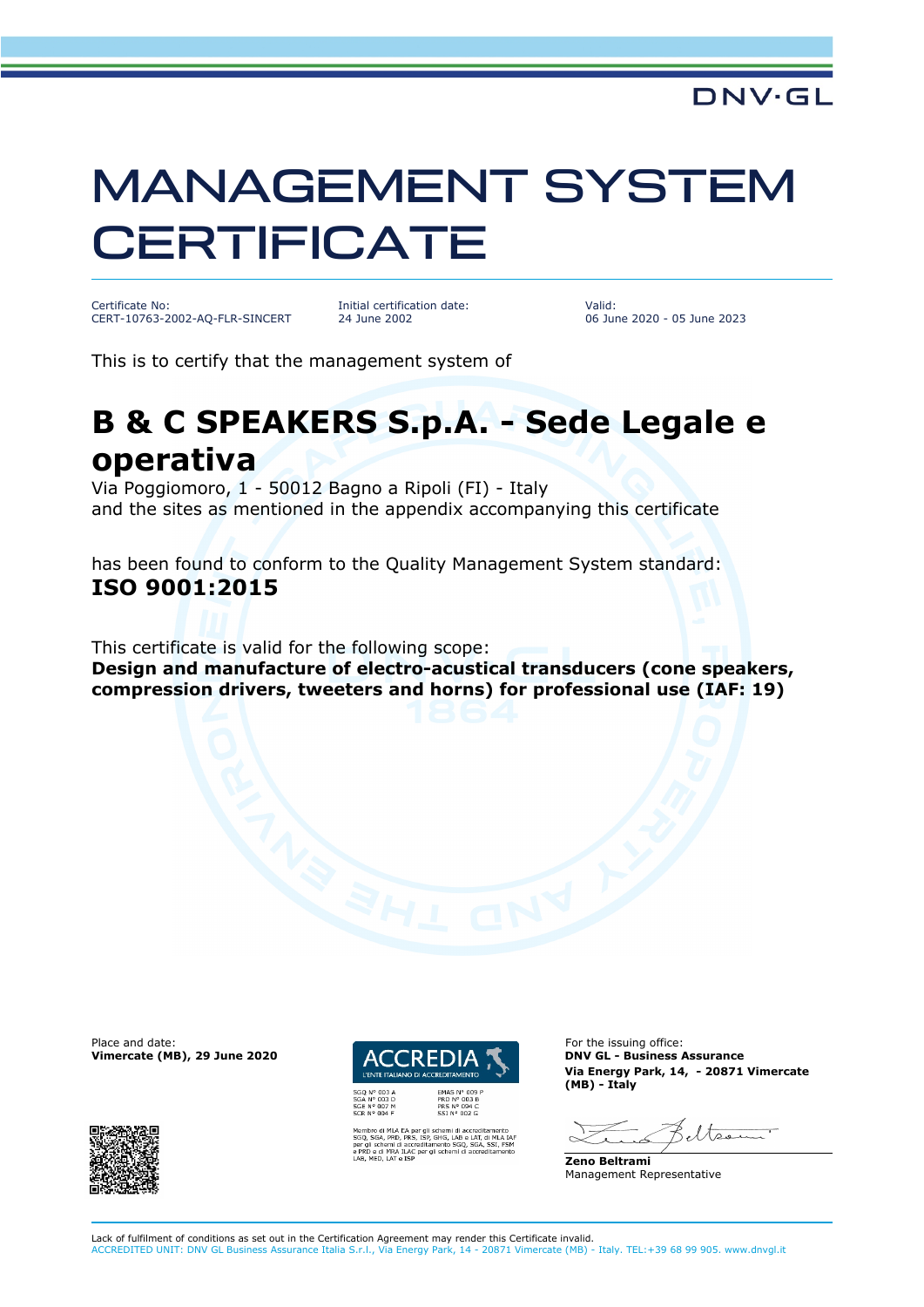## MANAGEMENT SYSTEM **CERTIFICATE**

Certificate No: CERT-10763-2002-AQ-FLR-SINCERT Initial certification date: 24 June 2002

Valid: 06 June 2020 - 05 June 2023

This is to certify that the management system of

## **B & C SPEAKERS S.p.A. - Sede Legale e operativa**

Via Poggiomoro, 1 - 50012 Bagno a Ripoli (FI) - Italy and the sites as mentioned in the appendix accompanying this certificate

has been found to conform to the Quality Management System standard: **ISO 9001:2015**

This certificate is valid for the following scope: **Design and manufacture of electro-acustical transducers (cone speakers, compression drivers, tweeters and horns) for professional use (IAF: 19)**

Place and date: For the issuing office:<br> **Place and date:** For the issuing office:<br> **ENDIA TERREDIA TERREDIA DIN'ILE - Business Assurance Vimercate (MB), 29 June 2020** 





-<br>SHG, LAB e LAT, di MLA<br>nento SGQ, SGA, SSI, F<br>i schemi di accreditame

**Via Energy Park, 14, - 20871 Vimercate (MB) - Italy**

eltser

**Zeno Beltrami** Management Representative